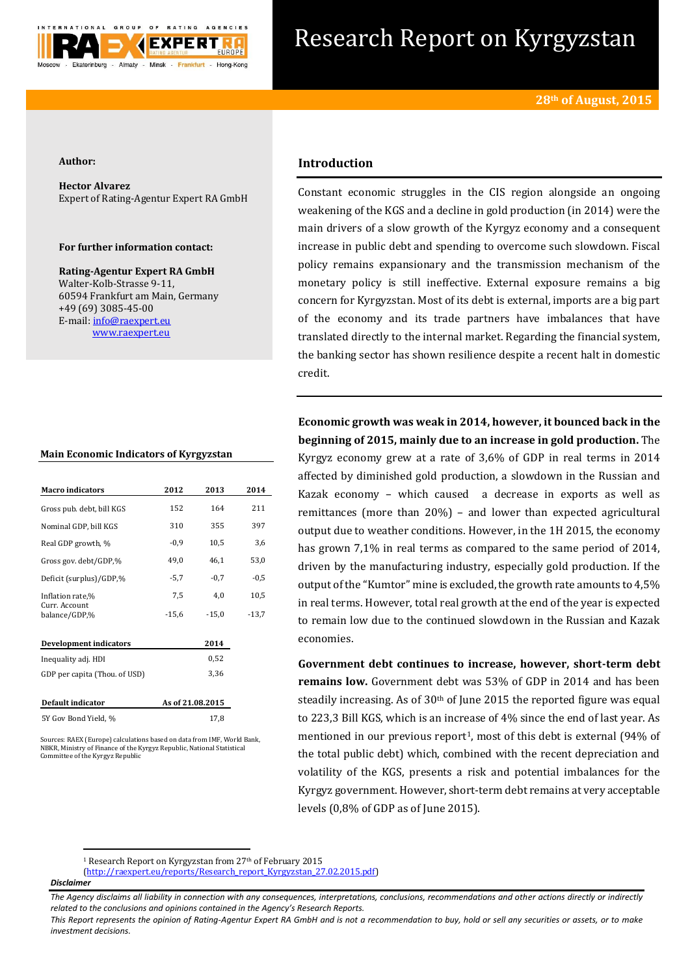

# Research Report on Kyrgyzstan

## **Author:**

**Hector Alvarez** Expert of Rating-Agentur Expert RA GmbH

# **For further information contact:**

**Rating-Agentur Expert RA GmbH** Walter-Kolb-Strasse 9-11, 60594 Frankfurt am Main, Germany +49 (69) 3085-45-00 E-mail[: info@raexpert.eu](mailto:info@raexpert.eu) [www.raexpert.eu](http://raexpert.eu/)

# **Main Economic Indicators of Kyrgyzstan**

| <b>Macro</b> indicators        | 2012             | 2013    | 2014    |
|--------------------------------|------------------|---------|---------|
| Gross pub. debt, bill KGS      | 152              | 164     | 211     |
| Nominal GDP, bill KGS          | 310              | 355     | 397     |
| Real GDP growth, %             | $-0.9$           | 10,5    | 3,6     |
| Gross gov. debt/GDP,%          | 49,0             | 46,1    | 53,0    |
| Deficit (surplus)/GDP,%        | $-5,7$           | $-0.7$  | $-0,5$  |
| Inflation rate,%               | 7,5              | 4,0     | 10,5    |
| Curr. Account<br>balance/GDP,% | $-15,6$          | $-15,0$ | $-13,7$ |
| Development indicators         |                  | 2014    |         |
| Inequality adj. HDI            |                  | 0,52    |         |
| GDP per capita (Thou. of USD)  |                  | 3,36    |         |
|                                |                  |         |         |
| Default indicator              | As of 21.08.2015 |         |         |
| 5Y Gov Bond Yield, %           |                  | 17,8    |         |

Sources: RAEX (Europe) calculations based on data from IMF, World Bank, NBKR, Ministry of Finance of the Kyrgyz Republic, National Statistical Committee of the Kyrgyz Republic

# **Introduction**

Constant economic struggles in the CIS region alongside an ongoing weakening of the KGS and a decline in gold production (in 2014) were the main drivers of a slow growth of the Kyrgyz economy and a consequent increase in public debt and spending to overcome such slowdown. Fiscal policy remains expansionary and the transmission mechanism of the monetary policy is still ineffective. External exposure remains a big concern for Kyrgyzstan. Most of its debt is external, imports are a big part of the economy and its trade partners have imbalances that have translated directly to the internal market. Regarding the financial system, the banking sector has shown resilience despite a recent halt in domestic credit.

**Economic growth was weak in 2014, however, it bounced back in the beginning of 2015, mainly due to an increase in gold production.** The Kyrgyz economy grew at a rate of 3,6% of GDP in real terms in 2014 affected by diminished gold production, a slowdown in the Russian and Kazak economy – which caused a decrease in exports as well as remittances (more than 20%) – and lower than expected agricultural output due to weather conditions. However, in the 1H 2015, the economy has grown 7,1% in real terms as compared to the same period of 2014, driven by the manufacturing industry, especially gold production. If the output of the "Kumtor" mine is excluded, the growth rate amounts to 4,5% in real terms. However, total real growth at the end of the year is expected to remain low due to the continued slowdown in the Russian and Kazak economies.

**Government debt continues to increase, however, short-term debt remains low.** Government debt was 53% of GDP in 2014 and has been steadily increasing. As of 30<sup>th</sup> of June 2015 the reported figure was equal to 223,3 Bill KGS, which is an increase of 4% since the end of last year. As mentioned in our previous report<sup>1</sup>, most of this debt is external (94% of the total public debt) which, combined with the recent depreciation and volatility of the KGS, presents a risk and potential imbalances for the Kyrgyz government. However, short-term debt remains at very acceptable levels (0,8% of GDP as of June 2015).

**<sup>.</sup>** <sup>1</sup> Research Report on Kyrgyzstan from 27<sup>th</sup> of February 2015

[<sup>\(</sup>http://raexpert.eu/reports/Research\\_report\\_Kyrgyzstan\\_27.02.2015.pdf\)](http://raexpert.eu/reports/Research_report_Kyrgyzstan_27.02.2015.pdf)

*Disclaimer* 

*The Agency disclaims all liability in connection with any consequences, interpretations, conclusions, recommendations and other actions directly or indirectly related to the conclusions and opinions contained in the Agency's Research Reports.*

*This Report represents the opinion of Rating-Agentur Expert RA GmbH and is not a recommendation to buy, hold or sell any securities or assets, or to make investment decisions.*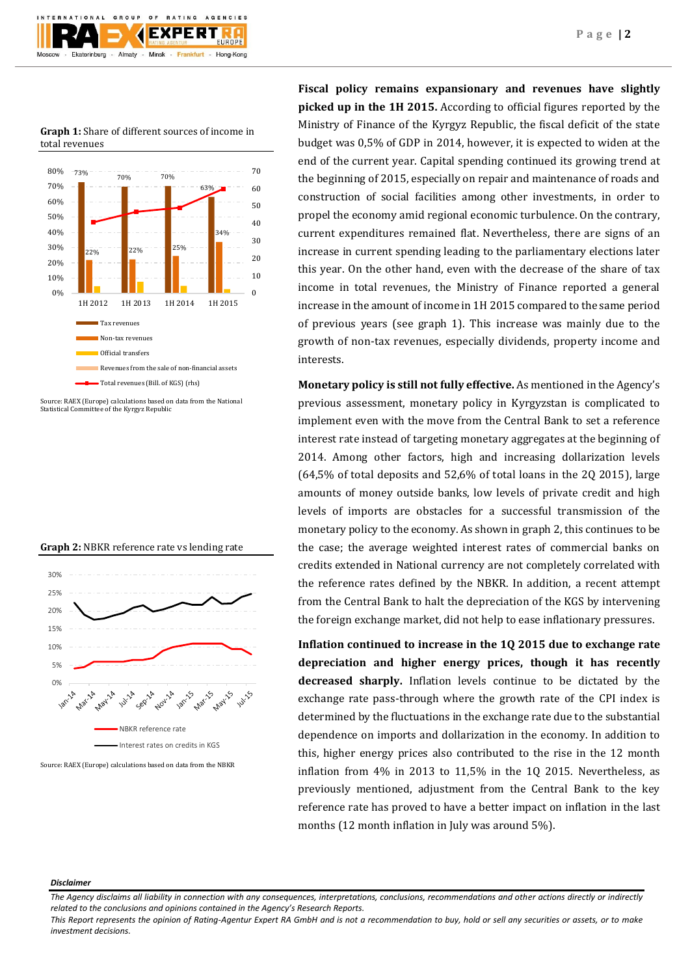

**Graph 1:** Share of different sources of income in total revenues



Source: RAEX (Europe) calculations based on data from the National Statistical Committee of the Kyrgyz Republic

**Graph 2:** NBKR reference rate vs lending rate



Source: RAEX (Europe) calculations based on data from the NBKR

**Fiscal policy remains expansionary and revenues have slightly picked up in the 1H 2015.** According to official figures reported by the Ministry of Finance of the Kyrgyz Republic, the fiscal deficit of the state budget was 0,5% of GDP in 2014, however, it is expected to widen at the end of the current year. Capital spending continued its growing trend at the beginning of 2015, especially on repair and maintenance of roads and construction of social facilities among other investments, in order to propel the economy amid regional economic turbulence. On the contrary, current expenditures remained flat. Nevertheless, there are signs of an increase in current spending leading to the parliamentary elections later this year. On the other hand, even with the decrease of the share of tax income in total revenues, the Ministry of Finance reported a general increase in the amount of income in 1H 2015 compared to the same period of previous years (see graph 1). This increase was mainly due to the growth of non-tax revenues, especially dividends, property income and interests.

**Monetary policy is still not fully effective.** As mentioned in the Agency's previous assessment, monetary policy in Kyrgyzstan is complicated to implement even with the move from the Central Bank to set a reference interest rate instead of targeting monetary aggregates at the beginning of 2014. Among other factors, high and increasing dollarization levels (64,5% of total deposits and 52,6% of total loans in the 2Q 2015), large amounts of money outside banks, low levels of private credit and high levels of imports are obstacles for a successful transmission of the monetary policy to the economy. As shown in graph 2, this continues to be the case; the average weighted interest rates of commercial banks on credits extended in National currency are not completely correlated with the reference rates defined by the NBKR. In addition, a recent attempt from the Central Bank to halt the depreciation of the KGS by intervening the foreign exchange market, did not help to ease inflationary pressures.

**Inflation continued to increase in the 1Q 2015 due to exchange rate depreciation and higher energy prices, though it has recently decreased sharply.** Inflation levels continue to be dictated by the exchange rate pass-through where the growth rate of the CPI index is determined by the fluctuations in the exchange rate due to the substantial dependence on imports and dollarization in the economy. In addition to this, higher energy prices also contributed to the rise in the 12 month inflation from 4% in 2013 to 11,5% in the 1Q 2015. Nevertheless, as previously mentioned, adjustment from the Central Bank to the key reference rate has proved to have a better impact on inflation in the last months (12 month inflation in July was around 5%).

### *Disclaimer*

*The Agency disclaims all liability in connection with any consequences, interpretations, conclusions, recommendations and other actions directly or indirectly related to the conclusions and opinions contained in the Agency's Research Reports.*

*This Report represents the opinion of Rating-Agentur Expert RA GmbH and is not a recommendation to buy, hold or sell any securities or assets, or to make investment decisions.*